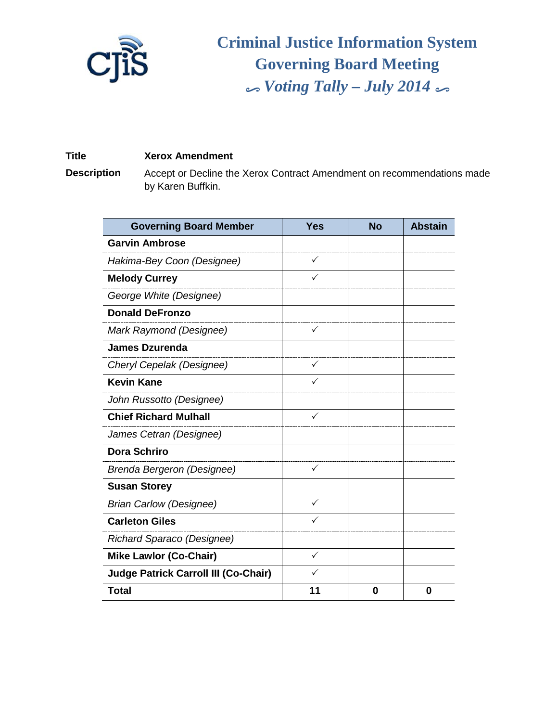

**Criminal Justice Information System Governing Board Meeting** % *Voting Tally – July 2014* %

## **Title Xerox Amendment**

**Description** Accept or Decline the Xerox Contract Amendment on recommendations made by Karen Buffkin.

| <b>Governing Board Member</b>               | <b>Yes</b>   | <b>No</b> | <b>Abstain</b> |
|---------------------------------------------|--------------|-----------|----------------|
| <b>Garvin Ambrose</b>                       |              |           |                |
| Hakima-Bey Coon (Designee)                  | ✓            |           |                |
| <b>Melody Currey</b>                        |              |           |                |
| George White (Designee)                     |              |           |                |
| <b>Donald DeFronzo</b>                      |              |           |                |
| Mark Raymond (Designee)                     | $\checkmark$ |           |                |
| <b>James Dzurenda</b>                       |              |           |                |
| Cheryl Cepelak (Designee)                   | $\checkmark$ |           |                |
| <b>Kevin Kane</b>                           |              |           |                |
| John Russotto (Designee)                    |              |           |                |
| <b>Chief Richard Mulhall</b>                | $\checkmark$ |           |                |
| James Cetran (Designee)                     |              |           |                |
| <b>Dora Schriro</b>                         |              |           |                |
| Brenda Bergeron (Designee)                  | ✓            |           |                |
| <b>Susan Storey</b>                         |              |           |                |
| <b>Brian Carlow (Designee)</b>              | $\checkmark$ |           |                |
| <b>Carleton Giles</b>                       |              |           |                |
| Richard Sparaco (Designee)                  |              |           |                |
| <b>Mike Lawlor (Co-Chair)</b>               | ✓            |           |                |
| <b>Judge Patrick Carroll III (Co-Chair)</b> | ✓            |           |                |
| <b>Total</b>                                | 11           | 0         | 0              |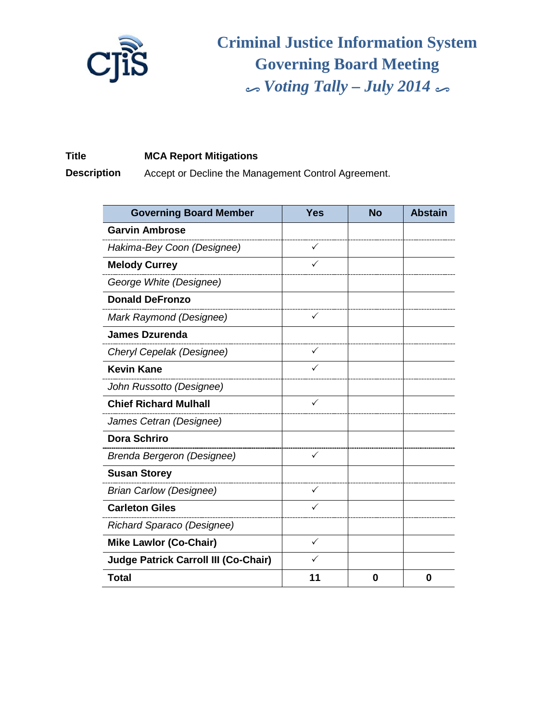

**Criminal Justice Information System Governing Board Meeting** % *Voting Tally – July 2014* %

## **Title MCA Report Mitigations**

**Description** Accept or Decline the Management Control Agreement.

| <b>Governing Board Member</b>               | <b>Yes</b>   | <b>No</b> | <b>Abstain</b> |
|---------------------------------------------|--------------|-----------|----------------|
| <b>Garvin Ambrose</b>                       |              |           |                |
| Hakima-Bey Coon (Designee)                  | ✓            |           |                |
| <b>Melody Currey</b>                        | ✓            |           |                |
| George White (Designee)                     |              |           |                |
| <b>Donald DeFronzo</b>                      |              |           |                |
| Mark Raymond (Designee)                     | ✓            |           |                |
| <b>James Dzurenda</b>                       |              |           |                |
| Cheryl Cepelak (Designee)                   | $\checkmark$ |           |                |
| <b>Kevin Kane</b>                           |              |           |                |
| John Russotto (Designee)                    |              |           |                |
| <b>Chief Richard Mulhall</b>                | ✓            |           |                |
| James Cetran (Designee)                     |              |           |                |
| Dora Schriro                                |              |           |                |
| Brenda Bergeron (Designee)                  | ✓            |           |                |
| <b>Susan Storey</b>                         |              |           |                |
| <b>Brian Carlow (Designee)</b>              | $\checkmark$ |           |                |
| <b>Carleton Giles</b>                       |              |           |                |
| Richard Sparaco (Designee)                  |              |           |                |
| <b>Mike Lawlor (Co-Chair)</b>               | ✓            |           |                |
| <b>Judge Patrick Carroll III (Co-Chair)</b> |              |           |                |
| <b>Total</b>                                | 11           | 0         | 0              |